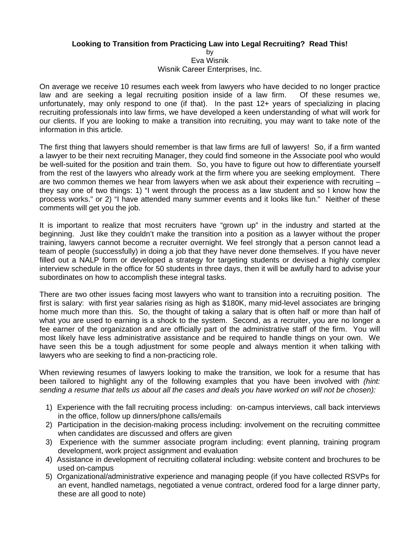## **Looking to Transition from Practicing Law into Legal Recruiting? Read This!**

by Eva Wisnik Wisnik Career Enterprises, Inc.

On average we receive 10 resumes each week from lawyers who have decided to no longer practice law and are seeking a legal recruiting position inside of a law firm. Of these resumes we, unfortunately, may only respond to one (if that). In the past 12+ years of specializing in placing recruiting professionals into law firms, we have developed a keen understanding of what will work for our clients. If you are looking to make a transition into recruiting, you may want to take note of the information in this article.

The first thing that lawyers should remember is that law firms are full of lawyers! So, if a firm wanted a lawyer to be their next recruiting Manager, they could find someone in the Associate pool who would be well-suited for the position and train them. So, you have to figure out how to differentiate yourself from the rest of the lawyers who already work at the firm where you are seeking employment. There are two common themes we hear from lawyers when we ask about their experience with recruiting – they say one of two things: 1) "I went through the process as a law student and so I know how the process works." or 2) "I have attended many summer events and it looks like fun." Neither of these comments will get you the job.

It is important to realize that most recruiters have "grown up" in the industry and started at the beginning. Just like they couldn't make the transition into a position as a lawyer without the proper training, lawyers cannot become a recruiter overnight. We feel strongly that a person cannot lead a team of people (successfully) in doing a job that they have never done themselves. If you have never filled out a NALP form or developed a strategy for targeting students or devised a highly complex interview schedule in the office for 50 students in three days, then it will be awfully hard to advise your subordinates on how to accomplish these integral tasks.

There are two other issues facing most lawyers who want to transition into a recruiting position. The first is salary: with first year salaries rising as high as \$180K, many mid-level associates are bringing home much more than this. So, the thought of taking a salary that is often half or more than half of what you are used to earning is a shock to the system. Second, as a recruiter, you are no longer a fee earner of the organization and are officially part of the administrative staff of the firm. You will most likely have less administrative assistance and be required to handle things on your own. We have seen this be a tough adjustment for some people and always mention it when talking with lawyers who are seeking to find a non-practicing role.

When reviewing resumes of lawyers looking to make the transition, we look for a resume that has been tailored to highlight any of the following examples that you have been involved with *(hint: sending a resume that tells us about all the cases and deals you have worked on will not be chosen):*

- 1) Experience with the fall recruiting process including: on-campus interviews, call back interviews in the office, follow up dinners/phone calls/emails
- 2) Participation in the decision-making process including: involvement on the recruiting committee when candidates are discussed and offers are given
- 3) Experience with the summer associate program including: event planning, training program development, work project assignment and evaluation
- 4) Assistance in development of recruiting collateral including: website content and brochures to be used on-campus
- 5) Organizational/administrative experience and managing people (if you have collected RSVPs for an event, handled nametags, negotiated a venue contract, ordered food for a large dinner party, these are all good to note)